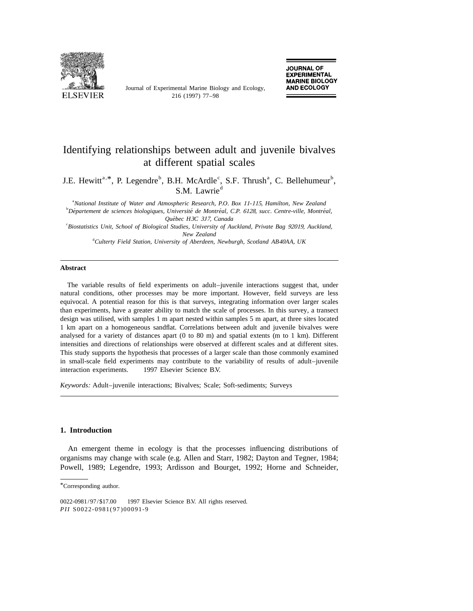

Journal of Experimental Marine Biology and Ecology,

# Identifying relationships between adult and juvenile bivalves at different spatial scales

J.E. Hewitt<sup>a, \*</sup>, P. Legendre<sup>b</sup>, B.H. McArdle<sup>c</sup>, S.F. Thrush<sup>a</sup>, C. Bellehumeur<sup>b</sup>, S.M. Lawrie<sup>d</sup>

a *National Institute of Water and Atmospheric Research*, *P*.*O*. *Box* <sup>11</sup>-115, *Hamilton*, *New Zealand* b *Departement de sciences biologiques ´ ´´ ´* , *Universite de Montreal*, *C*.*P*. 6128, *succ*. *Centre*-*ville*, *Montreal*, *Quebec H ´* <sup>3</sup>*C* <sup>3</sup>*J*7, *Canada*

c *Biostatistics Unit*, *School of Biological Studies*, *University of Auckland*, *Private Bag* 92019, *Auckland*, *New Zealand*

d *Culterty Field Station*, *University of Aberdeen*, *Newburgh*, *Scotland AB*40*AA*, *UK*

#### **Abstract**

The variable results of field experiments on adult–juvenile interactions suggest that, under natural conditions, other processes may be more important. However, field surveys are less equivocal. A potential reason for this is that surveys, integrating information over larger scales than experiments, have a greater ability to match the scale of processes. In this survey, a transect design was utilised, with samples 1 m apart nested within samples 5 m apart, at three sites located 1 km apart on a homogeneous sandflat. Correlations between adult and juvenile bivalves were analysed for a variety of distances apart (0 to 80 m) and spatial extents (m to 1 km). Different intensities and directions of relationships were observed at different scales and at different sites. This study supports the hypothesis that processes of a larger scale than those commonly examined in small-scale field experiments may contribute to the variability of results of adult–juvenile interaction experiments.  $\circ$  1997 Elsevier Science B.V.

*Keywords*: Adult–juvenile interactions; Bivalves; Scale; Soft-sediments; Surveys

## **1. Introduction**

An emergent theme in ecology is that the processes influencing distributions of organisms may change with scale (e.g. Allen and Starr, 1982; Dayton and Tegner, 1984; Powell, 1989; Legendre, 1993; Ardisson and Bourget, 1992; Horne and Schneider,

<sup>\*</sup>Corresponding author.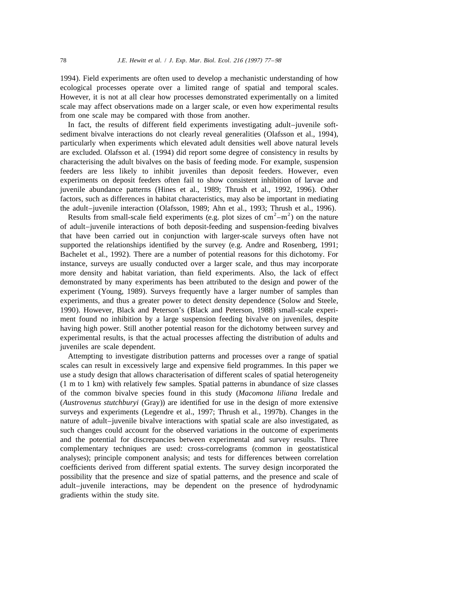1994). Field experiments are often used to develop a mechanistic understanding of how ecological processes operate over a limited range of spatial and temporal scales. However, it is not at all clear how processes demonstrated experimentally on a limited scale may affect observations made on a larger scale, or even how experimental results from one scale may be compared with those from another.

In fact, the results of different field experiments investigating adult–juvenile softsediment bivalve interactions do not clearly reveal generalities (Olafsson et al., 1994), particularly when experiments which elevated adult densities well above natural levels are excluded. Olafsson et al. (1994) did report some degree of consistency in results by characterising the adult bivalves on the basis of feeding mode. For example, suspension feeders are less likely to inhibit juveniles than deposit feeders. However, even experiments on deposit feeders often fail to show consistent inhibition of larvae and juvenile abundance patterns (Hines et al., 1989; Thrush et al., 1992, 1996). Other factors, such as differences in habitat characteristics, may also be important in mediating the adult–juvenile interaction (Olafsson, 1989; Ahn et al., 1993; Thrush et al., 1996).<br>Results from small-scale field experiments (e.g. plot sizes of cm<sup>2</sup>–m<sup>2</sup>) on the nature

of adult–juvenile interactions of both deposit-feeding and suspension-feeding bivalves that have been carried out in conjunction with larger-scale surveys often have not supported the relationships identified by the survey (e.g. Andre and Rosenberg, 1991; Bachelet et al., 1992). There are a number of potential reasons for this dichotomy. For instance, surveys are usually conducted over a larger scale, and thus may incorporate more density and habitat variation, than field experiments. Also, the lack of effect demonstrated by many experiments has been attributed to the design and power of the experiment (Young, 1989). Surveys frequently have a larger number of samples than experiments, and thus a greater power to detect density dependence (Solow and Steele, 1990). However, Black and Peterson's (Black and Peterson, 1988) small-scale experiment found no inhibition by a large suspension feeding bivalve on juveniles, despite having high power. Still another potential reason for the dichotomy between survey and experimental results, is that the actual processes affecting the distribution of adults and juveniles are scale dependent.

Attempting to investigate distribution patterns and processes over a range of spatial scales can result in excessively large and expensive field programmes. In this paper we use a study design that allows characterisation of different scales of spatial heterogeneity (1 m to 1 km) with relatively few samples. Spatial patterns in abundance of size classes of the common bivalve species found in this study (*Macomona liliana* Iredale and (*Austrovenus stutchburyi* (Gray)) are identified for use in the design of more extensive surveys and experiments (Legendre et al., 1997; Thrush et al., 1997b). Changes in the nature of adult–juvenile bivalve interactions with spatial scale are also investigated, as such changes could account for the observed variations in the outcome of experiments and the potential for discrepancies between experimental and survey results. Three complementary techniques are used: cross-correlograms (common in geostatistical analyses); principle component analysis; and tests for differences between correlation coefficients derived from different spatial extents. The survey design incorporated the possibility that the presence and size of spatial patterns, and the presence and scale of adult–juvenile interactions, may be dependent on the presence of hydrodynamic gradients within the study site.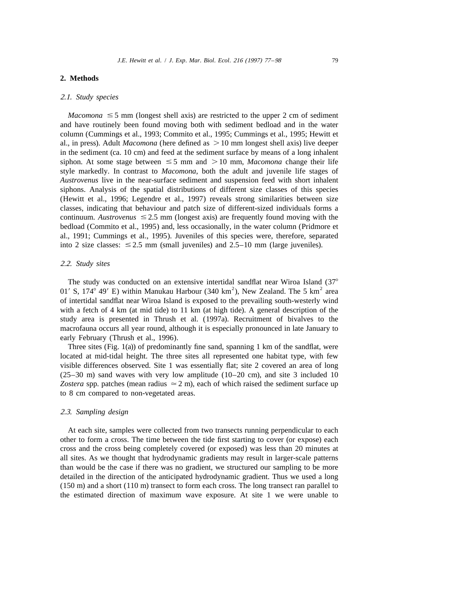## **2. Methods**

## 2.1. *Study species*

*Macomona*  $\leq$  5 mm (longest shell axis) are restricted to the upper 2 cm of sediment and have routinely been found moving both with sediment bedload and in the water column (Cummings et al., 1993; Commito et al., 1995; Cummings et al., 1995; Hewitt et al., in press). Adult *Macomona* (here defined as  $> 10$  mm longest shell axis) live deeper in the sediment (ca. 10 cm) and feed at the sediment surface by means of a long inhalent siphon. At some stage between  $\leq 5$  mm and  $> 10$  mm, *Macomona* change their life style markedly. In contrast to *Macomona*, both the adult and juvenile life stages of *Austrovenus* live in the near-surface sediment and suspension feed with short inhalent siphons. Analysis of the spatial distributions of different size classes of this species (Hewitt et al., 1996; Legendre et al., 1997) reveals strong similarities between size classes, indicating that behaviour and patch size of different-sized individuals forms a continuum. *Austrovenus*  $\leq 2.5$  mm (longest axis) are frequently found moving with the bedload (Commito et al., 1995) and, less occasionally, in the water column (Pridmore et al., 1991; Cummings et al., 1995). Juveniles of this species were, therefore, separated into 2 size classes:  $\leq 2.5$  mm (small juveniles) and 2.5–10 mm (large juveniles).

#### 2.2. *Study sites*

The study was conducted on an extensive intertidal sandflat near Wiroa Island (37° 01′ S, 174° 49′ E) within Manukau Harbour (340 km<sup>2</sup>), New Zealand. The 5 km<sup>2</sup> area of intertidal sandflat near Wiroa Island is exposed to the prevailing south-westerly wind with a fetch of 4 km (at mid tide) to 11 km (at high tide). A general description of the study area is presented in Thrush et al. (1997a). Recruitment of bivalves to the macrofauna occurs all year round, although it is especially pronounced in late January to early February (Thrush et al., 1996).

Three sites (Fig. 1(a)) of predominantly fine sand, spanning 1 km of the sandflat, were located at mid-tidal height. The three sites all represented one habitat type, with few visible differences observed. Site 1 was essentially flat; site 2 covered an area of long (25–30 m) sand waves with very low amplitude (10–20 cm), and site 3 included 10 *Zostera* spp. patches (mean radius  $\approx$  2 m), each of which raised the sediment surface up to 8 cm compared to non-vegetated areas.

## 2.3. *Sampling design*

At each site, samples were collected from two transects running perpendicular to each other to form a cross. The time between the tide first starting to cover (or expose) each cross and the cross being completely covered (or exposed) was less than 20 minutes at all sites. As we thought that hydrodynamic gradients may result in larger-scale patterns than would be the case if there was no gradient, we structured our sampling to be more detailed in the direction of the anticipated hydrodynamic gradient. Thus we used a long (150 m) and a short (110 m) transect to form each cross. The long transect ran parallel to the estimated direction of maximum wave exposure. At site 1 we were unable to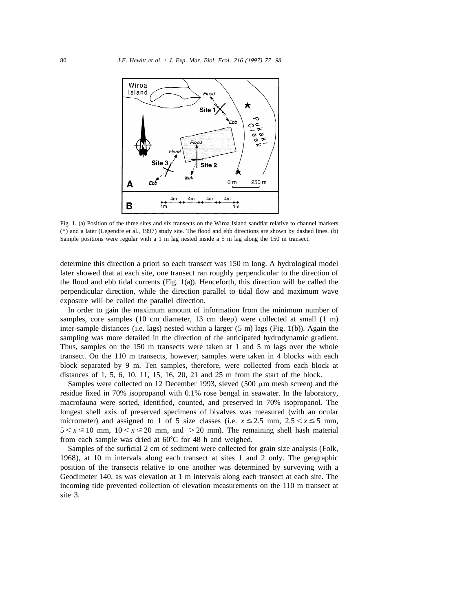

Fig. 1. (a) Position of the three sites and six transects on the Wiroa Island sandflat relative to channel markers (\*) and a later (Legendre et al., 1997) study site. The flood and ebb directions are shown by dashed lines. (b) Sample positions were regular with a 1 m lag nested inside a 5 m lag along the 150 m transect.

determine this direction a priori so each transect was 150 m long. A hydrological model later showed that at each site, one transect ran roughly perpendicular to the direction of the flood and ebb tidal currents (Fig. 1(a)). Henceforth, this direction will be called the perpendicular direction, while the direction parallel to tidal flow and maximum wave exposure will be called the parallel direction.

In order to gain the maximum amount of information from the minimum number of samples, core samples (10 cm diameter, 13 cm deep) were collected at small (1 m) inter-sample distances (i.e. lags) nested within a larger (5 m) lags (Fig. 1(b)). Again the sampling was more detailed in the direction of the anticipated hydrodynamic gradient. Thus, samples on the 150 m transects were taken at 1 and 5 m lags over the whole transect. On the 110 m transects, however, samples were taken in 4 blocks with each block separated by 9 m. Ten samples, therefore, were collected from each block at distances of 1, 5, 6, 10, 11, 15, 16, 20, 21 and 25 m from the start of the block.

Samples were collected on 12 December 1993, sieved (500  $\mu$ m mesh screen) and the residue fixed in 70% isopropanol with 0.1% rose bengal in seawater. In the laboratory, macrofauna were sorted, identified, counted, and preserved in 70% isopropanol. The longest shell axis of preserved specimens of bivalves was measured (with an ocular micrometer) and assigned to 1 of 5 size classes (i.e.  $x \le 2.5$  mm,  $2.5 \le x \le 5$  mm,  $5 < x \le 10$  mm,  $10 < x \le 20$  mm, and  $> 20$  mm). The remaining shell hash material from each sample was dried at  $60^{\circ}$ C for 48 h and weighed.

Samples of the surficial 2 cm of sediment were collected for grain size analysis (Folk, 1968), at 10 m intervals along each transect at sites 1 and 2 only. The geographic position of the transects relative to one another was determined by surveying with a Geodimeter 140, as was elevation at 1 m intervals along each transect at each site. The incoming tide prevented collection of elevation measurements on the 110 m transect at site 3.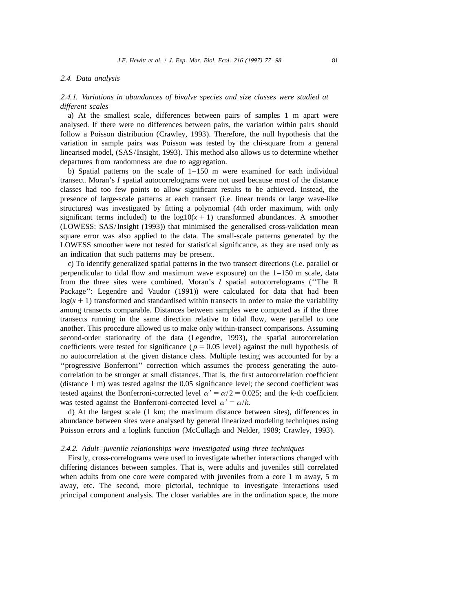#### 2.4. *Data analysis*

2.4.1. *Variations in abundances of bivalve species and size classes were studied at different scales*

a) At the smallest scale, differences between pairs of samples 1 m apart were analysed. If there were no differences between pairs, the variation within pairs should follow a Poisson distribution (Crawley, 1993). Therefore, the null hypothesis that the variation in sample pairs was Poisson was tested by the chi-square from a general linearised model, (SAS/Insight, 1993). This method also allows us to determine whether departures from randomness are due to aggregation.

b) Spatial patterns on the scale of  $1-150$  m were examined for each individual transect. Moran's *I* spatial autocorrelograms were not used because most of the distance classes had too few points to allow significant results to be achieved. Instead, the presence of large-scale patterns at each transect (i.e. linear trends or large wave-like structures) was investigated by fitting a polynomial (4th order maximum, with only significant terms included) to the  $log 10(x + 1)$  transformed abundances. A smoother (LOWESS: SAS/Insight (1993)) that minimised the generalised cross-validation mean square error was also applied to the data. The small-scale patterns generated by the LOWESS smoother were not tested for statistical significance, as they are used only as an indication that such patterns may be present.

c) To identify generalized spatial patterns in the two transect directions (i.e. parallel or perpendicular to tidal flow and maximum wave exposure) on the 1–150 m scale, data from the three sites were combined. Moran's *I* spatial autocorrelograms (''The R Package'': Legendre and Vaudor (1991)) were calculated for data that had been  $log(x + 1)$  transformed and standardised within transects in order to make the variability among transects comparable. Distances between samples were computed as if the three transects running in the same direction relative to tidal flow, were parallel to one another. This procedure allowed us to make only within-transect comparisons. Assuming second-order stationarity of the data (Legendre, 1993), the spatial autocorrelation coefficients were tested for significance ( $p = 0.05$  level) against the null hypothesis of no autocorrelation at the given distance class. Multiple testing was accounted for by a ''progressive Bonferroni'' correction which assumes the process generating the autocorrelation to be stronger at small distances. That is, the first autocorrelation coefficient (distance 1 m) was tested against the 0.05 significance level; the second coefficient was tested against the Bonferroni-corrected level  $\alpha' = \alpha/2 = 0.025$ ; and the *k*-th coefficient was tested against the Bonferroni-corrected level  $\alpha' = \alpha/k$ .

d) At the largest scale (1 km; the maximum distance between sites), differences in abundance between sites were analysed by general linearized modeling techniques using Poisson errors and a loglink function (McCullagh and Nelder, 1989; Crawley, 1993).

#### 2.4.2. *Adult*–*juvenile relationships were investigated using three techniques*

Firstly, cross-correlograms were used to investigate whether interactions changed with differing distances between samples. That is, were adults and juveniles still correlated when adults from one core were compared with juveniles from a core 1 m away, 5 m away, etc. The second, more pictorial, technique to investigate interactions used principal component analysis. The closer variables are in the ordination space, the more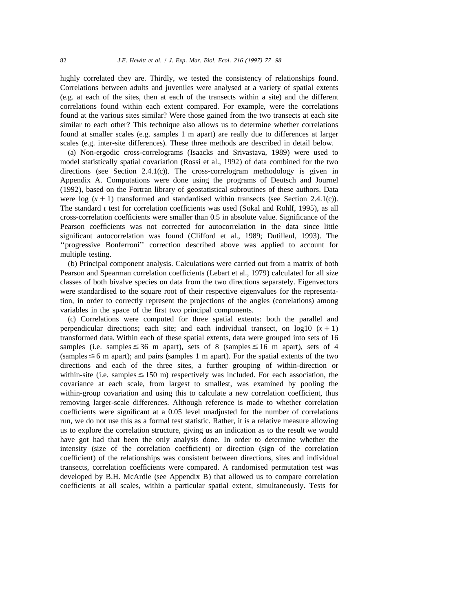highly correlated they are. Thirdly, we tested the consistency of relationships found. Correlations between adults and juveniles were analysed at a variety of spatial extents (e.g. at each of the sites, then at each of the transects within a site) and the different correlations found within each extent compared. For example, were the correlations found at the various sites similar? Were those gained from the two transects at each site similar to each other? This technique also allows us to determine whether correlations found at smaller scales (e.g. samples 1 m apart) are really due to differences at larger scales (e.g. inter-site differences). These three methods are described in detail below.

(a) Non-ergodic cross-correlograms (Isaacks and Srivastava, 1989) were used to model statistically spatial covariation (Rossi et al., 1992) of data combined for the two directions (see Section 2.4.1(c)). The cross-correlogram methodology is given in Appendix A. Computations were done using the programs of Deutsch and Journel (1992), based on the Fortran library of geostatistical subroutines of these authors. Data were log  $(x + 1)$  transformed and standardised within transects (see Section 2.4.1(c)). The standard *t* test for correlation coefficients was used (Sokal and Rohlf, 1995), as all cross-correlation coefficients were smaller than 0.5 in absolute value. Significance of the Pearson coefficients was not corrected for autocorrelation in the data since little significant autocorrelation was found (Clifford et al., 1989; Dutilleul, 1993). The ''progressive Bonferroni'' correction described above was applied to account for multiple testing.

(b) Principal component analysis. Calculations were carried out from a matrix of both Pearson and Spearman correlation coefficients (Lebart et al., 1979) calculated for all size classes of both bivalve species on data from the two directions separately. Eigenvectors were standardised to the square root of their respective eigenvalues for the representation, in order to correctly represent the projections of the angles (correlations) among variables in the space of the first two principal components.

(c) Correlations were computed for three spatial extents: both the parallel and perpendicular directions; each site; and each individual transect, on  $log10(x + 1)$ transformed data. Within each of these spatial extents, data were grouped into sets of 16 samples (i.e. samples  $\leq 36$  m apart), sets of 8 (samples  $\leq 16$  m apart), sets of 4 (samples  $\leq$  6 m apart); and pairs (samples 1 m apart). For the spatial extents of the two directions and each of the three sites, a further grouping of within-direction or within-site (i.e. samples  $\leq 150$  m) respectively was included. For each association, the covariance at each scale, from largest to smallest, was examined by pooling the within-group covariation and using this to calculate a new correlation coefficient, thus removing larger-scale differences. Although reference is made to whether correlation coefficients were significant at a 0.05 level unadjusted for the number of correlations run, we do not use this as a formal test statistic. Rather, it is a relative measure allowing us to explore the correlation structure, giving us an indication as to the result we would have got had that been the only analysis done. In order to determine whether the intensity (size of the correlation coefficient) or direction (sign of the correlation coefficient) of the relationships was consistent between directions, sites and individual transects, correlation coefficients were compared. A randomised permutation test was developed by B.H. McArdle (see Appendix B) that allowed us to compare correlation coefficients at all scales, within a particular spatial extent, simultaneously. Tests for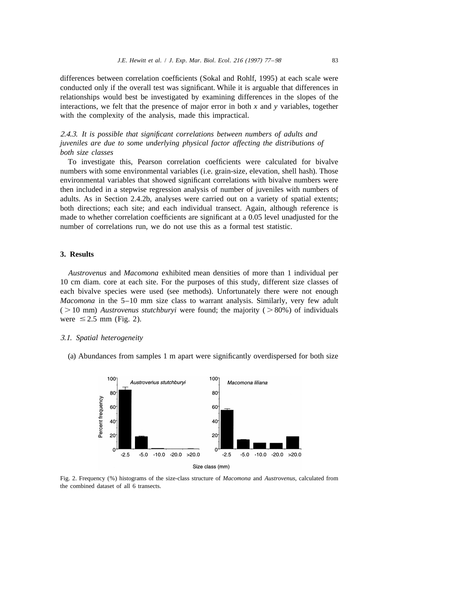differences between correlation coefficients (Sokal and Rohlf, 1995) at each scale were conducted only if the overall test was significant. While it is arguable that differences in relationships would best be investigated by examining differences in the slopes of the interactions, we felt that the presence of major error in both  $x$  and  $y$  variables, together with the complexity of the analysis, made this impractical.

2.4.3. *It is possible that significant correlations between numbers of adults and juveniles are due to some underlying physical factor affecting the distributions of both size classes*

To investigate this, Pearson correlation coefficients were calculated for bivalve numbers with some environmental variables (i.e. grain-size, elevation, shell hash). Those environmental variables that showed significant correlations with bivalve numbers were then included in a stepwise regression analysis of number of juveniles with numbers of adults. As in Section 2.4.2b, analyses were carried out on a variety of spatial extents; both directions; each site; and each individual transect. Again, although reference is made to whether correlation coefficients are significant at a 0.05 level unadjusted for the number of correlations run, we do not use this as a formal test statistic.

# **3. Results**

*Austrovenus* and *Macomona* exhibited mean densities of more than 1 individual per 10 cm diam. core at each site. For the purposes of this study, different size classes of each bivalve species were used (see methods). Unfortunately there were not enough *Macomona* in the 5–10 mm size class to warrant analysis. Similarly, very few adult  $($  > 10 mm) *Austrovenus stutchburyi* were found; the majority  $($  > 80%) of individuals were  $\leq 2.5$  mm (Fig. 2).

#### 3.1. *Spatial heterogeneity*

(a) Abundances from samples 1 m apart were significantly overdispersed for both size



Fig. 2. Frequency (%) histograms of the size-class structure of *Macomona* and *Austrovenus*, calculated from the combined dataset of all 6 transects.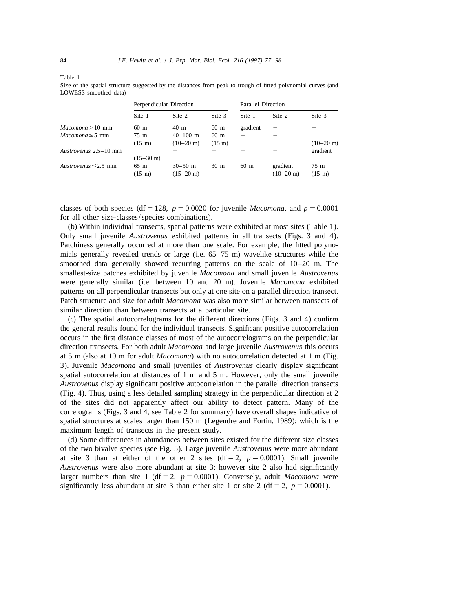Table 1

Size of the spatial structure suggested by the distances from peak to trough of fitted polynomial curves (and LOWESS smoothed data)

| Perpendicular Direction              |                                    |                  | Parallel Direction |                                 |                            |
|--------------------------------------|------------------------------------|------------------|--------------------|---------------------------------|----------------------------|
| Site 1                               | Site 2                             | Site 3           | Site 1             | Site 2                          | Site 3                     |
| $60 \text{ m}$                       | $40 \text{ m}$                     | $60 \text{ m}$   | gradient           |                                 |                            |
| 75 m                                 | $40 - 100$ m                       | 60 <sub>m</sub>  |                    |                                 |                            |
| $(15 \; \text{m})$                   | $(10-20 \text{ m})$                | $(15 \text{ m})$ |                    |                                 | $(10-20 \text{ m})$        |
|                                      |                                    |                  |                    |                                 | gradient                   |
| $(15-30 \text{ m})$                  |                                    |                  |                    |                                 |                            |
| $65 \text{ m}$<br>$(15 \; \text{m})$ | $30 - 50$ m<br>$(15-20 \text{ m})$ | 30 <sub>m</sub>  | 60 <sub>m</sub>    | gradient<br>$(10-20 \text{ m})$ | 75 m<br>$(15 \; \text{m})$ |
|                                      |                                    |                  |                    |                                 |                            |

classes of both species (df = 128,  $p = 0.0020$  for juvenile *Macomona*, and  $p = 0.0001$ for all other size-classes/species combinations).

(b) Within individual transects, spatial patterns were exhibited at most sites (Table 1). Only small juvenile *Austrovenus* exhibited patterns in all transects (Figs. 3 and 4). Patchiness generally occurred at more than one scale. For example, the fitted polynomials generally revealed trends or large (i.e. 65–75 m) wavelike structures while the smoothed data generally showed recurring patterns on the scale of 10–20 m. The smallest-size patches exhibited by juvenile *Macomona* and small juvenile *Austrovenus* were generally similar (i.e. between 10 and 20 m). Juvenile *Macomona* exhibited patterns on all perpendicular transects but only at one site on a parallel direction transect. Patch structure and size for adult *Macomona* was also more similar between transects of similar direction than between transects at a particular site.

(c) The spatial autocorrelograms for the different directions (Figs. 3 and 4) confirm the general results found for the individual transects. Significant positive autocorrelation occurs in the first distance classes of most of the autocorrelograms on the perpendicular direction transects. For both adult *Macomona* and large juvenile *Austrovenus* this occurs at 5 m (also at 10 m for adult *Macomona*) with no autocorrelation detected at 1 m (Fig. 3). Juvenile *Macomona* and small juveniles of *Austrovenus* clearly display significant spatial autocorrelation at distances of 1 m and 5 m. However, only the small juvenile *Austrovenus* display significant positive autocorrelation in the parallel direction transects (Fig. 4). Thus, using a less detailed sampling strategy in the perpendicular direction at 2 of the sites did not apparently affect our ability to detect pattern. Many of the correlograms (Figs. 3 and 4, see Table 2 for summary) have overall shapes indicative of spatial structures at scales larger than 150 m (Legendre and Fortin, 1989); which is the maximum length of transects in the present study.

(d) Some differences in abundances between sites existed for the different size classes of the two bivalve species (see Fig. 5). Large juvenile *Austrovenus* were more abundant at site 3 than at either of the other 2 sites ( $df = 2$ ,  $p = 0.0001$ ). Small juvenile *Austrovenus* were also more abundant at site 3; however site 2 also had significantly larger numbers than site 1 (df = 2,  $p = 0.0001$ ). Conversely, adult *Macomona* were significantly less abundant at site 3 than either site 1 or site 2 (df = 2,  $p = 0.0001$ ).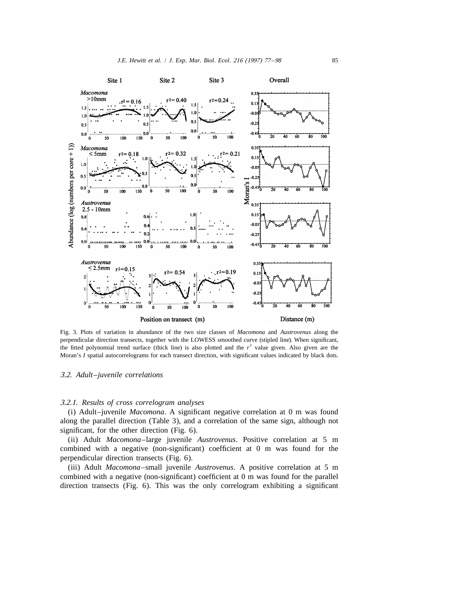

Fig. 3. Plots of variation in abundance of the two size classes of *Macomona* and *Austrovenus* along the perpendicular direction transects, together with the LOWESS smoothed curve (stipled line). When significant, the fitted polynomial trend surface (thick line) is also plotted and the  $r<sup>2</sup>$  value given. Also given are the Moran's *I* spatial autocorrelograms for each transect direction, with significant values indicated by black dots.

#### 3.2. *Adult*–*juvenile correlations*

## 3.2.1. *Results of cross correlogram analyses*

(i) Adult–juvenile *Macomona*. A significant negative correlation at 0 m was found along the parallel direction (Table 3), and a correlation of the same sign, although not significant, for the other direction (Fig. 6).

(ii) Adult *Macomona*–large juvenile *Austrovenus*. Positive correlation at 5 m combined with a negative (non-significant) coefficient at 0 m was found for the perpendicular direction transects (Fig. 6).

(iii) Adult *Macomona*–small juvenile *Austrovenus*. A positive correlation at 5 m combined with a negative (non-significant) coefficient at 0 m was found for the parallel direction transects (Fig. 6). This was the only correlogram exhibiting a significant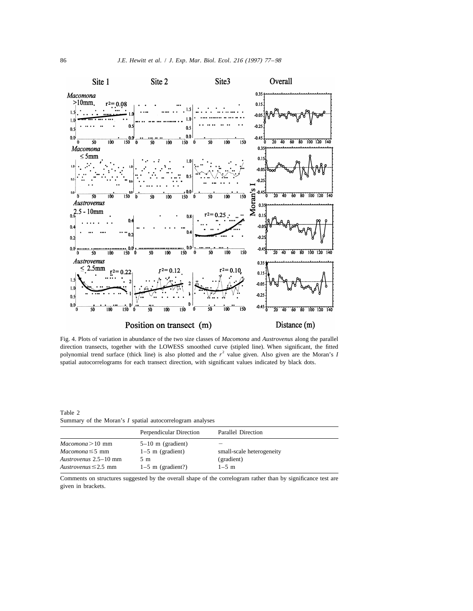

Fig. 4. Plots of variation in abundance of the two size classes of *Macomona* and *Austrovenus* along the parallel direction transects, together with the LOWESS smoothed curve (stipled line). When significant, the fitted polynomial trend surface (thick line) is also plotted and the  $r^2$  value given. Also given are the Moran's *I* spatial autocorrelograms for each transect direction, with significant values indicated by black dots.

Table 2 Summary of the Moran's *I* spatial autocorrelogram analyses

|                           | Perpendicular Direction | Parallel Direction        |  |
|---------------------------|-------------------------|---------------------------|--|
| $Macomona > 10$ mm        | $5-10$ m (gradient)     |                           |  |
| $Macomona \leq 5$ mm      | $1-5$ m (gradient)      | small-scale heterogeneity |  |
| Austrovenus 2.5–10 mm     | 5 m                     | (gradient)                |  |
| Austrovenus $\leq$ 2.5 mm | $1-5$ m (gradient?)     | $1 - 5$ m                 |  |

Comments on structures suggested by the overall shape of the correlogram rather than by significance test are given in brackets.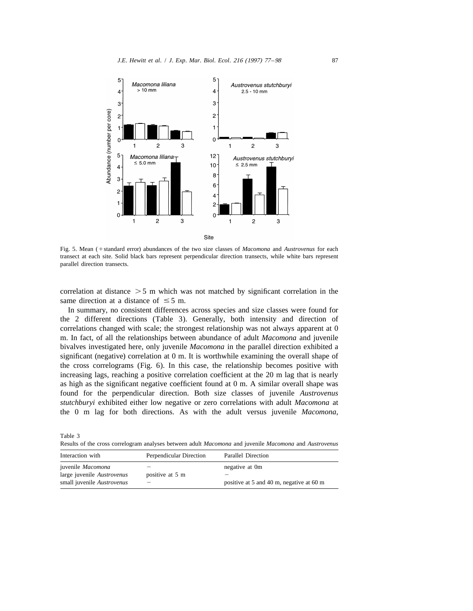

Fig. 5. Mean (+standard error) abundances of the two size classes of *Macomona* and *Austrovenus* for each transect at each site. Solid black bars represent perpendicular direction transects, while white bars represent parallel direction transects.

correlation at distance  $>$  5 m which was not matched by significant correlation in the same direction at a distance of  $\leq$  5 m.

In summary, no consistent differences across species and size classes were found for the 2 different directions (Table 3). Generally, both intensity and direction of correlations changed with scale; the strongest relationship was not always apparent at 0 m. In fact, of all the relationships between abundance of adult *Macomona* and juvenile bivalves investigated here, only juvenile *Macomona* in the parallel direction exhibited a significant (negative) correlation at 0 m. It is worthwhile examining the overall shape of the cross correlograms (Fig. 6). In this case, the relationship becomes positive with increasing lags, reaching a positive correlation coefficient at the 20 m lag that is nearly as high as the significant negative coefficient found at 0 m. A similar overall shape was found for the perpendicular direction. Both size classes of juvenile *Austrovenus stutchburyi* exhibited either low negative or zero correlations with adult *Macomona* at the 0 m lag for both directions. As with the adult versus juvenile *Macomona*,

Table 3

Results of the cross correlogram analyses between adult *Macomona* and juvenile *Macomona* and *Austrovenus*

| Interaction with                                                              | Perpendicular Direction                     | Parallel Direction                                         |  |
|-------------------------------------------------------------------------------|---------------------------------------------|------------------------------------------------------------|--|
| juvenile Macomona<br>large juvenile Austrovenus<br>small juvenile Austrovenus | positive at 5 m<br>$\overline{\phantom{a}}$ | negative at 0m<br>positive at 5 and 40 m, negative at 60 m |  |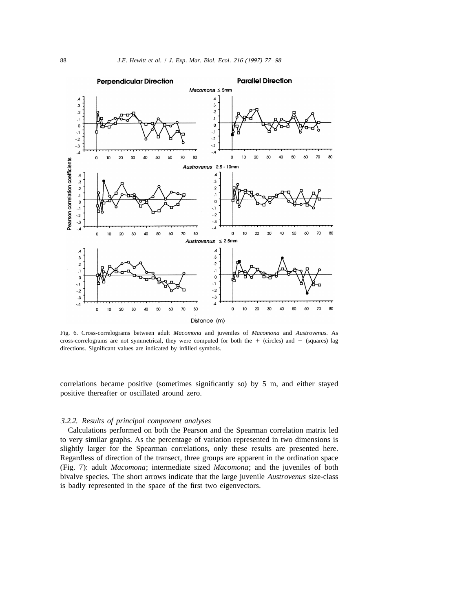

Fig. 6. Cross-correlograms between adult *Macomona* and juveniles of *Macomona* and *Austrovenus*. As cross-correlograms are not symmetrical, they were computed for both the  $+$  (circles) and  $-$  (squares) lag directions. Significant values are indicated by infilled symbols.

correlations became positive (sometimes significantly so) by 5 m, and either stayed positive thereafter or oscillated around zero.

## 3.2.2. *Results of principal component analyses*

Calculations performed on both the Pearson and the Spearman correlation matrix led to very similar graphs. As the percentage of variation represented in two dimensions is slightly larger for the Spearman correlations, only these results are presented here. Regardless of direction of the transect, three groups are apparent in the ordination space (Fig. 7): adult *Macomona*; intermediate sized *Macomona*; and the juveniles of both bivalve species. The short arrows indicate that the large juvenile *Austrovenus* size-class is badly represented in the space of the first two eigenvectors.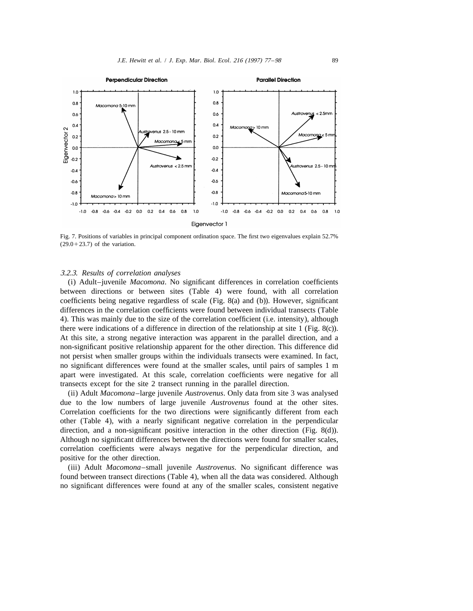

Fig. 7. Positions of variables in principal component ordination space. The first two eigenvalues explain 52.7%  $(29.0+23.7)$  of the variation.

## 3.2.3. *Results of correlation analyses*

(i) Adult–juvenile *Macomona*. No significant differences in correlation coefficients between directions or between sites (Table 4) were found, with all correlation coefficients being negative regardless of scale (Fig. 8(a) and (b)). However, significant differences in the correlation coefficients were found between individual transects (Table 4). This was mainly due to the size of the correlation coefficient (i.e. intensity), although there were indications of a difference in direction of the relationship at site 1 (Fig. 8(c)). At this site, a strong negative interaction was apparent in the parallel direction, and a non-significant positive relationship apparent for the other direction. This difference did not persist when smaller groups within the individuals transects were examined. In fact, no significant differences were found at the smaller scales, until pairs of samples 1 m apart were investigated. At this scale, correlation coefficients were negative for all transects except for the site 2 transect running in the parallel direction.

(ii) Adult *Macomona*–large juvenile *Austrovenus*. Only data from site 3 was analysed due to the low numbers of large juvenile *Austrovenus* found at the other sites. Correlation coefficients for the two directions were significantly different from each other (Table 4), with a nearly significant negative correlation in the perpendicular direction, and a non-significant positive interaction in the other direction (Fig. 8(d)). Although no significant differences between the directions were found for smaller scales, correlation coefficients were always negative for the perpendicular direction, and positive for the other direction.

(iii) Adult *Macomona*–small juvenile *Austrovenus*. No significant difference was found between transect directions (Table 4), when all the data was considered. Although no significant differences were found at any of the smaller scales, consistent negative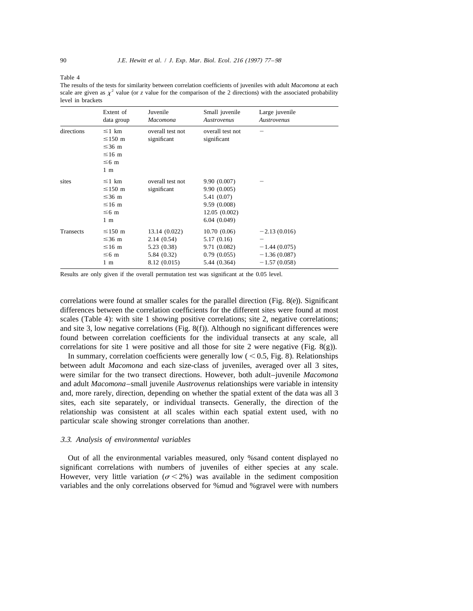Table 4

The results of the tests for similarity between correlation coefficients of juveniles with adult *Macomona* at each scale are given as  $x^2$  value (or *z* value for the comparison of the 2 directions) with the associated probability level in brackets

|            | Extent of<br>data group                                                                  | Juvenile<br>Macomona                                                      | Small juvenile<br><b>Austrovenus</b>                                                     | Large juvenile<br>Austrovenus                                        |
|------------|------------------------------------------------------------------------------------------|---------------------------------------------------------------------------|------------------------------------------------------------------------------------------|----------------------------------------------------------------------|
| directions | $\leq$ 1 km<br>$\leq$ 150 m<br>$\leq$ 36 m<br>$\leq 16$ m<br>$\leq$ 6 m<br>$1 \text{ m}$ | overall test not<br>significant                                           | overall test not<br>significant                                                          |                                                                      |
| sites      | $\leq$ 1 km<br>$\leq$ 150 m<br>$\leq$ 36 m<br>$\leq 16$ m<br>$\leq 6$ m<br>$1 \text{ m}$ | overall test not<br>significant                                           | 9.90 (0.007)<br>9.90(0.005)<br>5.41 (0.07)<br>9.59(0.008)<br>12.05(0.002)<br>6.04(0.049) |                                                                      |
| Transects  | $≤150$ m<br>$\leq$ 36 m<br>$\leq 16$ m<br>$\leq 6$ m<br>$1 \text{ m}$                    | 13.14 (0.022)<br>2.14(0.54)<br>5.23 (0.38)<br>5.84 (0.32)<br>8.12 (0.015) | 10.70(0.06)<br>5.17(0.16)<br>9.71 (0.082)<br>0.79(0.055)<br>5.44 (0.364)                 | $-2.13(0.016)$<br>$-1.44(0.075)$<br>$-1.36(0.087)$<br>$-1.57(0.058)$ |

Results are only given if the overall permutation test was significant at the 0.05 level.

correlations were found at smaller scales for the parallel direction (Fig. 8(e)). Significant differences between the correlation coefficients for the different sites were found at most scales (Table 4): with site 1 showing positive correlations; site 2, negative correlations; and site 3, low negative correlations (Fig. 8(f)). Although no significant differences were found between correlation coefficients for the individual transects at any scale, all correlations for site 1 were positive and all those for site 2 were negative (Fig.  $8(g)$ ).

In summary, correlation coefficients were generally low  $(< 0.5$ , Fig. 8). Relationships between adult *Macomona* and each size-class of juveniles, averaged over all 3 sites, were similar for the two transect directions. However, both adult–juvenile *Macomona* and adult *Macomona*–small juvenile *Austrovenus* relationships were variable in intensity and, more rarely, direction, depending on whether the spatial extent of the data was all 3 sites, each site separately, or individual transects. Generally, the direction of the relationship was consistent at all scales within each spatial extent used, with no particular scale showing stronger correlations than another.

### 3.3. *Analysis of environmental variables*

Out of all the environmental variables measured, only %sand content displayed no significant correlations with numbers of juveniles of either species at any scale. However, very little variation ( $\sigma$  < 2%) was available in the sediment composition variables and the only correlations observed for %mud and %gravel were with numbers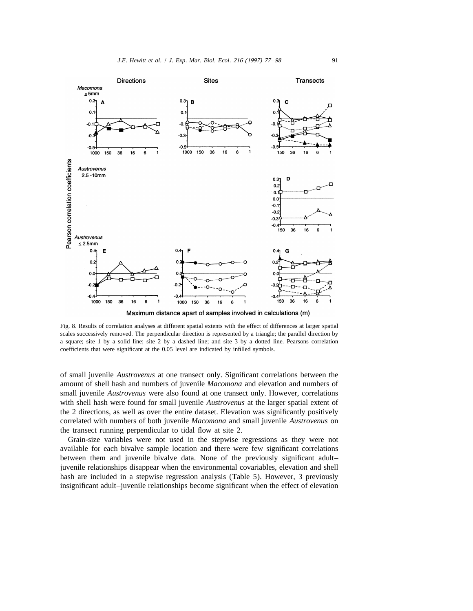

Fig. 8. Results of correlation analyses at different spatial extents with the effect of differences at larger spatial scales successively removed. The perpendicular direction is represented by a triangle; the parallel direction by a square; site 1 by a solid line; site 2 by a dashed line; and site 3 by a dotted line. Pearsons correlation coefficients that were significant at the 0.05 level are indicated by infilled symbols.

of small juvenile *Austrovenus* at one transect only. Significant correlations between the amount of shell hash and numbers of juvenile *Macomona* and elevation and numbers of small juvenile *Austrovenus* were also found at one transect only. However, correlations with shell hash were found for small juvenile *Austrovenus* at the larger spatial extent of the 2 directions, as well as over the entire dataset. Elevation was significantly positively correlated with numbers of both juvenile *Macomona* and small juvenile *Austrovenus* on the transect running perpendicular to tidal flow at site 2.

Grain-size variables were not used in the stepwise regressions as they were not available for each bivalve sample location and there were few significant correlations between them and juvenile bivalve data. None of the previously significant adult– juvenile relationships disappear when the environmental covariables, elevation and shell hash are included in a stepwise regression analysis (Table 5). However, 3 previously insignificant adult–juvenile relationships become significant when the effect of elevation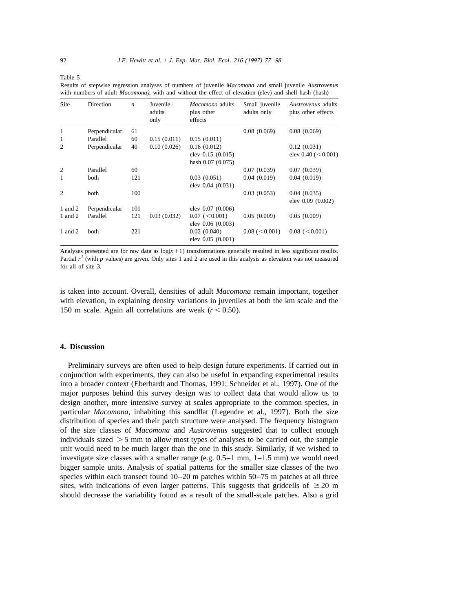Table 5

Results of stepwise regression analyses of numbers of juvenile *Macomona* and small juvenile *Austrovenus* with numbers of adult *Macomona*), with and without the effect of elevation (elev) and shell hash (hash)

| Site           | Direction     | $\boldsymbol{n}$ | Juvenile<br>adults<br>only | Macomona adults<br>plus other<br>effects | Small juvenile<br>adults only | <i>Austrovenus</i> adults<br>plus other effects |
|----------------|---------------|------------------|----------------------------|------------------------------------------|-------------------------------|-------------------------------------------------|
| 1              | Perpendicular | 61               |                            |                                          | 0.08(0.069)                   | 0.08(0.069)                                     |
| 1              | Parallel      | 60               | 0.15(0.011)                | 0.15(0.011)                              |                               |                                                 |
| $\overline{2}$ | Perpendicular | 40               | 0.10(0.026)                | 0.16(0.012)                              |                               | 0.12(0.031)                                     |
|                |               |                  |                            | elev 0.15 (0.015)                        |                               | elev $0.40$ ( $< 0.001$ )                       |
|                |               |                  |                            | hash 0.07 (0.075)                        |                               |                                                 |
| $\overline{2}$ | Parallel      | 60               |                            |                                          | 0.07(0.039)                   | 0.07(0.039)                                     |
| 1              | both          | 121              |                            | 0.03(0.051)                              | 0.04(0.019)                   | 0.04(0.019)                                     |
|                |               |                  |                            | elev 0.04 (0.031)                        |                               |                                                 |
| $\overline{c}$ | both          | 100              |                            |                                          | 0.03(0.053)                   | 0.04(0.035)                                     |
|                |               |                  |                            |                                          |                               | elev 0.09 (0.002)                               |
| 1 and 2        | Perpendicular | 101              |                            | elev 0.07 (0.006)                        |                               |                                                 |
| 1 and 2        | Parallel      | 121              | 0.03(0.032)                | 0.07 (< 0.001)                           | 0.05(0.009)                   | 0.05(0.009)                                     |
|                |               |                  |                            | elev 0.06 (0.003)                        |                               |                                                 |
| 1 and 2        | both          | 221              |                            | 0.02(0.040)                              | 0.08 (< 0.001)                | 0.08 (< 0.001)                                  |
|                |               |                  |                            | elev 0.05 (0.001)                        |                               |                                                 |

Analyses presented are for raw data as  $log(x+1)$  transformations generally resulted in less significant results. Partial  $r^2$  (with  $p$  values) are given. Only sites 1 and 2 are used in this analysis as elevation was not measured for all of site 3.

is taken into account. Overall, densities of adult *Macomona* remain important, together with elevation, in explaining density variations in juveniles at both the km scale and the 150 m scale. Again all correlations are weak  $(r < 0.50)$ .

#### **4. Discussion**

Preliminary surveys are often used to help design future experiments. If carried out in conjunction with experiments, they can also be useful in expanding experimental results into a broader context (Eberhardt and Thomas, 1991; Schneider et al., 1997). One of the major purposes behind this survey design was to collect data that would allow us to design another, more intensive survey at scales appropriate to the common species, in particular *Macomona*, inhabiting this sandflat (Legendre et al., 1997). Both the size distribution of species and their patch structure were analysed. The frequency histogram of the size classes of *Macomona* and *Austrovenus* suggested that to collect enough individuals sized  $>$  5 mm to allow most types of analyses to be carried out, the sample unit would need to be much larger than the one in this study. Similarly, if we wished to investigate size classes with a smaller range (e.g.  $0.5-1$  mm,  $1-1.5$  mm) we would need bigger sample units. Analysis of spatial patterns for the smaller size classes of the two species within each transect found 10–20 m patches within 50–75 m patches at all three sites, with indications of even larger patterns. This suggests that gridcells of  $\geq 20$  m should decrease the variability found as a result of the small-scale patches. Also a grid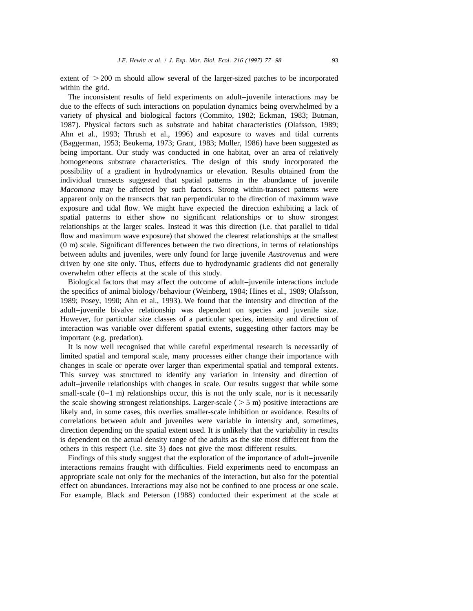extent of  $>$  200 m should allow several of the larger-sized patches to be incorporated within the grid.

The inconsistent results of field experiments on adult–juvenile interactions may be due to the effects of such interactions on population dynamics being overwhelmed by a variety of physical and biological factors (Commito, 1982; Eckman, 1983; Butman, 1987). Physical factors such as substrate and habitat characteristics (Olafsson, 1989; Ahn et al., 1993; Thrush et al., 1996) and exposure to waves and tidal currents (Baggerman, 1953; Beukema, 1973; Grant, 1983; Moller, 1986) have been suggested as being important. Our study was conducted in one habitat, over an area of relatively homogeneous substrate characteristics. The design of this study incorporated the possibility of a gradient in hydrodynamics or elevation. Results obtained from the individual transects suggested that spatial patterns in the abundance of juvenile *Macomona* may be affected by such factors. Strong within-transect patterns were apparent only on the transects that ran perpendicular to the direction of maximum wave exposure and tidal flow. We might have expected the direction exhibiting a lack of spatial patterns to either show no significant relationships or to show strongest relationships at the larger scales. Instead it was this direction (i.e. that parallel to tidal flow and maximum wave exposure) that showed the clearest relationships at the smallest (0 m) scale. Significant differences between the two directions, in terms of relationships between adults and juveniles, were only found for large juvenile *Austrovenus* and were driven by one site only. Thus, effects due to hydrodynamic gradients did not generally overwhelm other effects at the scale of this study.

Biological factors that may affect the outcome of adult–juvenile interactions include the specifics of animal biology/behaviour (Weinberg, 1984; Hines et al., 1989; Olafsson, 1989; Posey, 1990; Ahn et al., 1993). We found that the intensity and direction of the adult–juvenile bivalve relationship was dependent on species and juvenile size. However, for particular size classes of a particular species, intensity and direction of interaction was variable over different spatial extents, suggesting other factors may be important (e.g. predation).

It is now well recognised that while careful experimental research is necessarily of limited spatial and temporal scale, many processes either change their importance with changes in scale or operate over larger than experimental spatial and temporal extents. This survey was structured to identify any variation in intensity and direction of adult–juvenile relationships with changes in scale. Our results suggest that while some small-scale  $(0-1$  m) relationships occur, this is not the only scale, nor is it necessarily the scale showing strongest relationships. Larger-scale ( $>$ 5 m) positive interactions are likely and, in some cases, this overlies smaller-scale inhibition or avoidance. Results of correlations between adult and juveniles were variable in intensity and, sometimes, direction depending on the spatial extent used. It is unlikely that the variability in results is dependent on the actual density range of the adults as the site most different from the others in this respect (i.e. site 3) does not give the most different results.

Findings of this study suggest that the exploration of the importance of adult–juvenile interactions remains fraught with difficulties. Field experiments need to encompass an appropriate scale not only for the mechanics of the interaction, but also for the potential effect on abundances. Interactions may also not be confined to one process or one scale. For example, Black and Peterson (1988) conducted their experiment at the scale at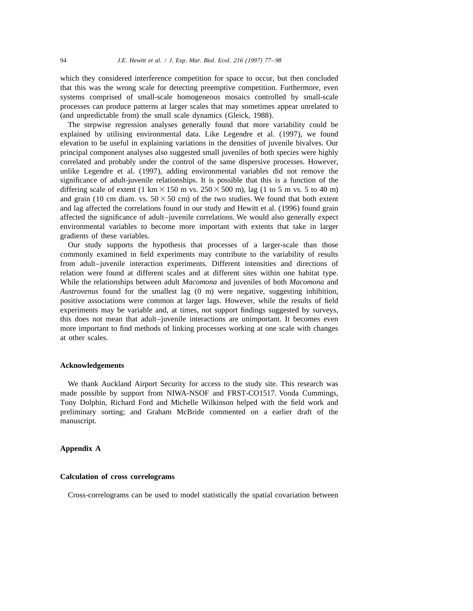which they considered interference competition for space to occur, but then concluded that this was the wrong scale for detecting preemptive competition. Furthermore, even systems comprised of small-scale homogeneous mosaics controlled by small-scale processes can produce patterns at larger scales that may sometimes appear unrelated to (and unpredictable from) the small scale dynamics (Gleick, 1988).

The stepwise regression analyses generally found that more variability could be explained by utilising environmental data. Like Legendre et al. (1997), we found elevation to be useful in explaining variations in the densities of juvenile bivalves. Our principal component analyses also suggested small juveniles of both species were highly correlated and probably under the control of the same dispersive processes. However, unlike Legendre et al. (1997), adding environmental variables did not remove the significance of adult-juvenile relationships. It is possible that this is a function of the differing scale of extent (1 km  $\times$  150 m vs. 250  $\times$  500 m), lag (1 to 5 m vs. 5 to 40 m) and grain (10 cm diam. vs.  $50 \times 50$  cm) of the two studies. We found that both extent and lag affected the correlations found in our study and Hewitt et al. (1996) found grain affected the significance of adult–juvenile correlations. We would also generally expect environmental variables to become more important with extents that take in larger gradients of these variables.

Our study supports the hypothesis that processes of a larger-scale than those commonly examined in field experiments may contribute to the variability of results from adult–juvenile interaction experiments. Different intensities and directions of relation were found at different scales and at different sites within one habitat type. While the relationships between adult *Macomona* and juveniles of both *Macomona* and *Austrovenus* found for the smallest lag (0 m) were negative, suggesting inhibition, positive associations were common at larger lags. However, while the results of field experiments may be variable and, at times, not support findings suggested by surveys, this does not mean that adult–juvenile interactions are unimportant. It becomes even more important to find methods of linking processes working at one scale with changes at other scales.

#### **Acknowledgements**

We thank Auckland Airport Security for access to the study site. This research was made possible by support from NIWA-NSOF and FRST-CO1517. Vonda Cummings, Tony Dolphin, Richard Ford and Michelle Wilkinson helped with the field work and preliminary sorting; and Graham McBride commented on a earlier draft of the manuscript.

# **Appendix A**

# **Calculation of cross correlograms**

Cross-correlograms can be used to model statistically the spatial covariation between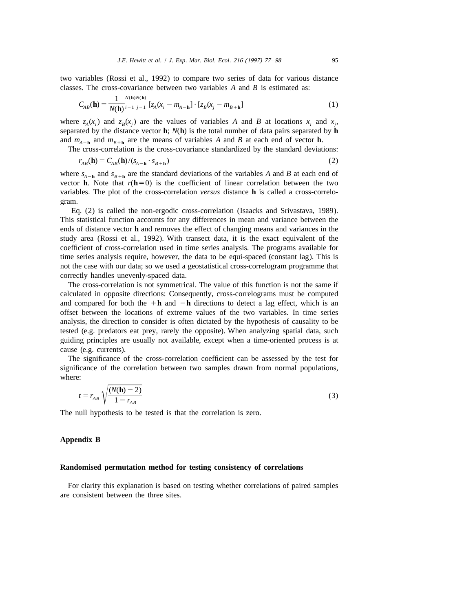two variables (Rossi et al., 1992) to compare two series of data for various distance classes. The cross-covariance between two variables *A* and *B* is estimated as:

$$
C_{AB}(\mathbf{h}) = \frac{1}{N(\mathbf{h})^{i}} \left[ z_A(x_i - m_{A-\mathbf{h}}) \cdot [z_B(x_j - m_{B+\mathbf{h}})] \right]
$$
(1)

where  $z_A(x_i)$  and  $z_B(x_j)$  are the values of variables *A* and *B* at locations  $x_i$  and  $x_j$ , separated by the distance vector **h**; *N*(**h**) is the total number of data pairs separated by **h** and  $m_{A-h}$  and  $m_{B+h}$  are the means of variables A and B at each end of vector **h**.

The cross-correlation is the cross-covariance standardized by the standard deviations:

$$
r_{AB}(\mathbf{h}) = C_{AB}(\mathbf{h})/(s_{A-\mathbf{h}} \cdot s_{B+\mathbf{h}})
$$
\n(2)

where  $s_{A-h}$  and  $s_{B+h}$  are the standard deviations of the variables A and B at each end of vector **h**. Note that  $r(h=0)$  is the coefficient of linear correlation between the two variables. The plot of the cross-correlation *versus* distance **h** is called a cross-correlogram.

Eq. (2) is called the non-ergodic cross-correlation (Isaacks and Srivastava, 1989). This statistical function accounts for any differences in mean and variance between the ends of distance vector **h** and removes the effect of changing means and variances in the study area (Rossi et al., 1992). With transect data, it is the exact equivalent of the coefficient of cross-correlation used in time series analysis. The programs available for time series analysis require, however, the data to be equi-spaced (constant lag). This is not the case with our data; so we used a geostatistical cross-correlogram programme that correctly handles unevenly-spaced data.

The cross-correlation is not symmetrical. The value of this function is not the same if calculated in opposite directions: Consequently, cross-correlograms must be computed and compared for both the  $+h$  and  $-h$  directions to detect a lag effect, which is an offset between the locations of extreme values of the two variables. In time series analysis, the direction to consider is often dictated by the hypothesis of causality to be tested (e.g. predators eat prey, rarely the opposite). When analyzing spatial data, such guiding principles are usually not available, except when a time-oriented process is at cause (e.g. currents).

The significance of the cross-correlation coefficient can be assessed by the test for significance of the correlation between two samples drawn from normal populations, where:  $\frac{d\mathbf{r}}{N(\mathbf{h}) - 2}$ 

$$
t = r_{AB} \sqrt{\frac{(N(\mathbf{h}) - 2)}{1 - r_{AB}}}
$$
 (3)

The null hypothesis to be tested is that the correlation is zero.

# **Appendix B**

#### **Randomised permutation method for testing consistency of correlations**

For clarity this explanation is based on testing whether correlations of paired samples are consistent between the three sites.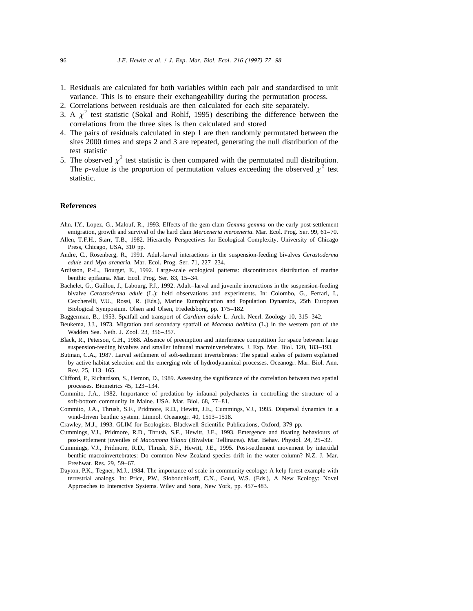- 1. Residuals are calculated for both variables within each pair and standardised to unit variance. This is to ensure their exchangeability during the permutation process.
- 
- 2. Correlations between residuals are then calculated for each site separately.<br>3. A  $\chi^2$  test statistic (Sokal and Rohlf, 1995) describing the difference between the correlations from the three sites is then calculated and stored
- 4. The pairs of residuals calculated in step 1 are then randomly permutated between the sites 2000 times and steps 2 and 3 are repeated, generating the null distribution of the
- 2 5. The observed  $\chi^2$  test statistic is then compared with the permutated null distribution.<br>The *p*-value is the proportion of permutation values exceeding the observed  $\chi^2$  test statistic.

## **References**

- Ahn, I.Y., Lopez, G., Malouf, R., 1993. Effects of the gem clam *Gemma gemma* on the early post-settlement emigration, growth and survival of the hard clam *Merceneria merceneria*. Mar. Ecol. Prog. Ser. 99, 61–70.
- Allen, T.F.H., Starr, T.B., 1982. Hierarchy Perspectives for Ecological Complexity. University of Chicago Press, Chicago, USA, 310 pp.
- Andre, C., Rosenberg, R., 1991. Adult-larval interactions in the suspension-feeding bivalves *Cerastoderma edule* and *Mya arenaria*. Mar. Ecol. Prog. Ser. 71, 227–234.
- Ardisson, P.-L., Bourget, E., 1992. Large-scale ecological patterns: discontinuous distribution of marine benthic epifauna. Mar. Ecol. Prog. Ser. 83, 15–34.
- Bachelet, G., Guillou, J., Labourg, P.J., 1992. Adult–larval and juvenile interactions in the suspension-feeding bivalve *Cerastoderma edule* (L.): field observations and experiments. In: Colombo, G., Ferrari, I., Ceccherelli, V.U., Rossi, R. (Eds.), Marine Eutrophication and Population Dynamics, 25th European Biological Symposium. Olsen and Olsen, Frededsborg, pp. 175–182.
- Baggerman, B., 1953. Spatfall and transport of *Cardium edule* L. Arch. Neerl. Zoology 10, 315–342.
- Beukema, J.J., 1973. Migration and secondary spatfall of *Macoma balthica* (L.) in the western part of the Wadden Sea. Neth. J. Zool. 23, 356–357.
- Black, R., Peterson, C.H., 1988. Absence of preemption and interference competition for space between large suspension-feeding bivalves and smaller infaunal macroinvertebrates. J. Exp. Mar. Biol. 120, 183–193.
- Butman, C.A., 1987. Larval settlement of soft-sediment invertebrates: The spatial scales of pattern explained by active habitat selection and the emerging role of hydrodynamical processes. Oceanogr. Mar. Biol. Ann. Rev. 25, 113–165.
- Clifford, P., Richardson, S., Hemon, D., 1989. Assessing the significance of the correlation between two spatial processes. Biometrics 45, 123–134.
- Commito, J.A., 1982. Importance of predation by infaunal polychaetes in controlling the structure of a soft-bottom community in Maine. USA. Mar. Biol. 68, 77–81.
- Commito, J.A., Thrush, S.F., Pridmore, R.D., Hewitt, J.E., Cummings, V.J., 1995. Dispersal dynamics in a wind-driven benthic system. Limnol. Oceanogr. 40, 1513–1518.
- Crawley, M.J., 1993. GLIM for Ecologists. Blackwell Scientific Publications, Oxford, 379 pp.
- Cummings, V.J., Pridmore, R.D., Thrush, S.F., Hewitt, J.E., 1993. Emergence and floating behaviours of post-settlement juveniles of *Macomona liliana* (Bivalvia: Tellinacea). Mar. Behav. Physiol. 24, 25–32.
- Cummings, V.J., Pridmore, R.D., Thrush, S.F., Hewitt, J.E., 1995. Post-settlement movement by intertidal benthic macroinvertebrates: Do common New Zealand species drift in the water column? N.Z. J. Mar. Freshwat. Res. 29, 59–67.
- Dayton, P.K., Tegner, M.J., 1984. The importance of scale in community ecology: A kelp forest example with terrestrial analogs. In: Price, P.W., Slobodchikoff, C.N., Gaud, W.S. (Eds.), A New Ecology: Novel Approaches to Interactive Systems. Wiley and Sons, New York, pp. 457–483.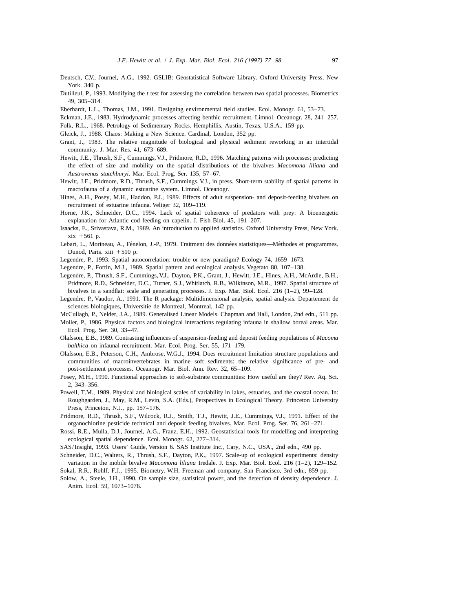- Deutsch, C.V., Journel, A.G., 1992. GSLIB: Geostatistical Software Library. Oxford University Press, New York. 340 p.
- Dutilleul, P., 1993. Modifying the *t* test for assessing the correlation between two spatial processes. Biometrics 49, 305–314.
- Eberhardt, L.L., Thomas, J.M., 1991. Designing environmental field studies. Ecol. Monogr. 61, 53–73.
- Eckman, J.E., 1983. Hydrodynamic processes affecting benthic recruitment. Limnol. Oceanogr. 28, 241–257.
- Folk, R.L., 1968. Petrology of Sedimentary Rocks. Hemphillis, Austin, Texas, U.S.A., 159 pp.
- Gleick, J., 1988. Chaos: Making a New Science. Cardinal, London, 352 pp.
- Grant, J., 1983. The relative magnitude of biological and physical sediment reworking in an intertidal community. J. Mar. Res. 41, 673–689.
- Hewitt, J.E., Thrush, S.F., Cummings, V.J., Pridmore, R.D., 1996. Matching patterns with processes; predicting the effect of size and mobility on the spatial distributions of the bivalves *Macomona liliana* and *Austrovenus stutchburyi*. Mar. Ecol. Prog. Ser. 135, 57–67.
- Hewitt, J.E., Pridmore, R.D., Thrush, S.F., Cummings, V.J., in press. Short-term stability of spatial patterns in macrofauna of a dynamic estuarine system. Limnol. Oceanogr.
- Hines, A.H., Posey, M.H., Haddon, P.J., 1989. Effects of adult suspension- and deposit-feeding bivalves on recruitment of estuarine infauna. Veliger 32, 109–119.
- Horne, J.K., Schneider, D.C., 1994. Lack of spatial coherence of predators with prey: A bioenergetic explanation for Atlantic cod feeding on capelin. J. Fish Biol. 45, 191–207.
- Isaacks, E., Srivastava, R.M., 1989. An introduction to applied statistics. Oxford University Press, New York.  $xix + 561$  p.
- Lebart, L., Morineau, A., Fénelon, J.-P., 1979. Traitment des données statistiques—Méthodes et programmes. Dunod, Paris. xiii  $+510$  p.
- Legendre, P., 1993. Spatial autocorrelation: trouble or new paradigm? Ecology 74, 1659–1673.
- Legendre, P., Fortin, M.J., 1989. Spatial pattern and ecological analysis. Vegetato 80, 107–138.
- Legendre, P., Thrush, S.F., Cummings, V.J., Dayton, P.K., Grant, J., Hewitt, J.E., Hines, A.H., McArdle, B.H., Pridmore, R.D., Schneider, D.C., Turner, S.J., Whitlatch, R.B., Wilkinson, M.R., 1997. Spatial structure of bivalves in a sandflat: scale and generating processes. J. Exp. Mar. Biol. Ecol. 216  $(1-2)$ , 99-128.
- Legendre, P., Vaudor, A., 1991. The R package: Multidimensional analysis, spatial analysis. Departement de sciences biologiques, Universitie de Montreal, Montreal, 142 pp.
- McCullagh, P., Nelder, J.A., 1989. Generalised Linear Models. Chapman and Hall, London, 2nd edn., 511 pp.
- Moller, P., 1986. Physical factors and biological interactions regulating infauna in shallow boreal areas. Mar. Ecol. Prog. Ser. 30, 33–47.
- Olafsson, E.B., 1989. Contrasting influences of suspension-feeding and deposit feeding populations of *Macoma balthica* on infaunal recruitment. Mar. Ecol. Prog. Ser. 55, 171–179.
- Olafsson, E.B., Peterson, C.H., Ambrose, W.G.J., 1994. Does recruitment limitation structure populations and communities of macroinvertebrates in marine soft sediments: the relative significance of pre- and post-settlement processes. Oceanogr. Mar. Biol. Ann. Rev. 32, 65–109.
- Posey, M.H., 1990. Functional approaches to soft-substrate communities: How useful are they? Rev. Aq. Sci. 2, 343–356.
- Powell, T.M., 1989. Physical and biological scales of variability in lakes, estuaries, and the coastal ocean. In: Roughgarden, J., May, R.M., Levin, S.A. (Eds.), Perspectives in Ecological Theory. Princeton University Press, Princeton, N.J., pp. 157–176.
- Pridmore, R.D., Thrush, S.F., Wilcock, R.J., Smith, T.J., Hewitt, J.E., Cummings, V.J., 1991. Effect of the organochlorine pesticide technical and deposit feeding bivalves. Mar. Ecol. Prog. Ser. 76, 261–271.
- Rossi, R.E., Mulla, D.J., Journel, A.G., Franz, E.H., 1992. Geostatistical tools for modelling and interpreting ecological spatial dependence. Ecol. Monogr. 62, 277–314.
- SAS/Insight, 1993. Users' Guide, Version 6. SAS Institute Inc., Cary, N.C., USA., 2nd edn., 490 pp.
- Schneider, D.C., Walters, R., Thrush, S.F., Dayton, P.K., 1997. Scale-up of ecological experiments: density variation in the mobile bivalve *Macomona liliana* Iredale. J. Exp. Mar. Biol. Ecol. 216 (1–2), 129–152.
- Sokal, R.R., Rohlf, F.J., 1995. Biometry. W.H. Freeman and company, San Francisco, 3rd edn., 859 pp.
- Solow, A., Steele, J.H., 1990. On sample size, statistical power, and the detection of density dependence. J. Anim. Ecol. 59, 1073–1076.